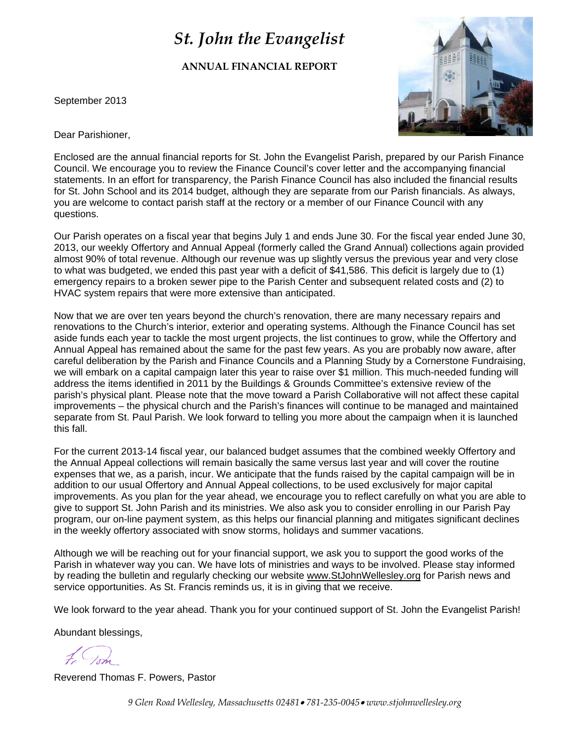# *St. John the Evangelist*

**ANNUAL FINANCIAL REPORT**

September 2013



Dear Parishioner,

Enclosed are the annual financial reports for St. John the Evangelist Parish, prepared by our Parish Finance Council. We encourage you to review the Finance Council's cover letter and the accompanying financial statements. In an effort for transparency, the Parish Finance Council has also included the financial results for St. John School and its 2014 budget, although they are separate from our Parish financials. As always, you are welcome to contact parish staff at the rectory or a member of our Finance Council with any questions.

Our Parish operates on a fiscal year that begins July 1 and ends June 30. For the fiscal year ended June 30, 2013, our weekly Offertory and Annual Appeal (formerly called the Grand Annual) collections again provided almost 90% of total revenue. Although our revenue was up slightly versus the previous year and very close to what was budgeted, we ended this past year with a deficit of \$41,586. This deficit is largely due to (1) emergency repairs to a broken sewer pipe to the Parish Center and subsequent related costs and (2) to HVAC system repairs that were more extensive than anticipated.

Now that we are over ten years beyond the church's renovation, there are many necessary repairs and renovations to the Church's interior, exterior and operating systems. Although the Finance Council has set aside funds each year to tackle the most urgent projects, the list continues to grow, while the Offertory and Annual Appeal has remained about the same for the past few years. As you are probably now aware, after careful deliberation by the Parish and Finance Councils and a Planning Study by a Cornerstone Fundraising, we will embark on a capital campaign later this year to raise over \$1 million. This much-needed funding will address the items identified in 2011 by the Buildings & Grounds Committee's extensive review of the parish's physical plant. Please note that the move toward a Parish Collaborative will not affect these capital improvements – the physical church and the Parish's finances will continue to be managed and maintained separate from St. Paul Parish. We look forward to telling you more about the campaign when it is launched this fall.

For the current 2013-14 fiscal year, our balanced budget assumes that the combined weekly Offertory and the Annual Appeal collections will remain basically the same versus last year and will cover the routine expenses that we, as a parish, incur. We anticipate that the funds raised by the capital campaign will be in addition to our usual Offertory and Annual Appeal collections, to be used exclusively for major capital improvements. As you plan for the year ahead, we encourage you to reflect carefully on what you are able to give to support St. John Parish and its ministries. We also ask you to consider enrolling in our Parish Pay program, our on-line payment system, as this helps our financial planning and mitigates significant declines in the weekly offertory associated with snow storms, holidays and summer vacations.

Although we will be reaching out for your financial support, we ask you to support the good works of the Parish in whatever way you can. We have lots of ministries and ways to be involved. Please stay informed by reading the bulletin and regularly checking our website [www.StJohnWellesley.org](http://www.stjohnwellesley.org/) for Parish news and service opportunities. As St. Francis reminds us, it is in giving that we receive.

We look forward to the year ahead. Thank you for your continued support of St. John the Evangelist Parish!

Abundant blessings,

Reverend Thomas F. Powers, Pastor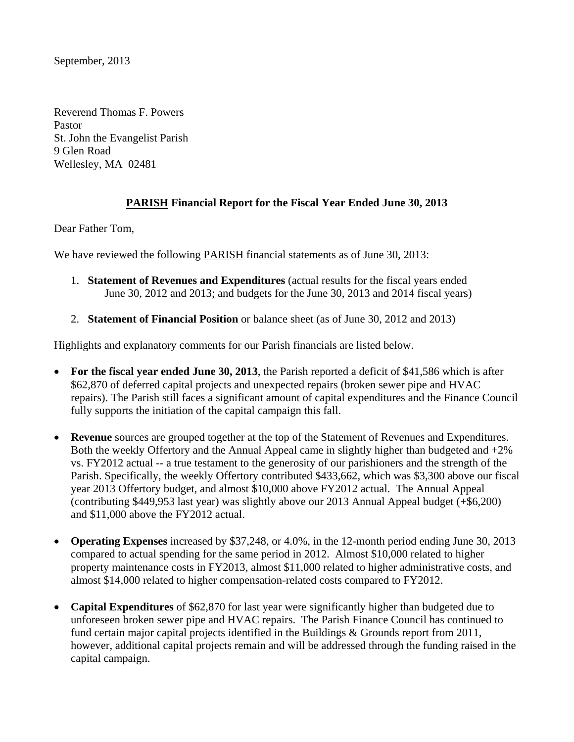September, 2013

Reverend Thomas F. Powers Pastor St. John the Evangelist Parish 9 Glen Road Wellesley, MA 02481

## **PARISH Financial Report for the Fiscal Year Ended June 30, 2013**

Dear Father Tom,

We have reviewed the following PARISH financial statements as of June 30, 2013:

- 1. **Statement of Revenues and Expenditures** (actual results for the fiscal years ended June 30, 2012 and 2013; and budgets for the June 30, 2013 and 2014 fiscal years)
- 2. **Statement of Financial Position** or balance sheet (as of June 30, 2012 and 2013)

Highlights and explanatory comments for our Parish financials are listed below.

- **For the fiscal year ended June 30, 2013**, the Parish reported a deficit of \$41,586 which is after \$62,870 of deferred capital projects and unexpected repairs (broken sewer pipe and HVAC repairs). The Parish still faces a significant amount of capital expenditures and the Finance Council fully supports the initiation of the capital campaign this fall.
- **Revenue** sources are grouped together at the top of the Statement of Revenues and Expenditures. Both the weekly Offertory and the Annual Appeal came in slightly higher than budgeted and +2% vs. FY2012 actual -- a true testament to the generosity of our parishioners and the strength of the Parish. Specifically, the weekly Offertory contributed \$433,662, which was \$3,300 above our fiscal year 2013 Offertory budget, and almost \$10,000 above FY2012 actual. The Annual Appeal (contributing \$449,953 last year) was slightly above our 2013 Annual Appeal budget (+\$6,200) and \$11,000 above the FY2012 actual.
- **Operating Expenses** increased by \$37,248, or 4.0%, in the 12-month period ending June 30, 2013 compared to actual spending for the same period in 2012. Almost \$10,000 related to higher property maintenance costs in FY2013, almost \$11,000 related to higher administrative costs, and almost \$14,000 related to higher compensation-related costs compared to FY2012.
- **Capital Expenditures** of \$62,870 for last year were significantly higher than budgeted due to unforeseen broken sewer pipe and HVAC repairs. The Parish Finance Council has continued to fund certain major capital projects identified in the Buildings & Grounds report from 2011, however, additional capital projects remain and will be addressed through the funding raised in the capital campaign.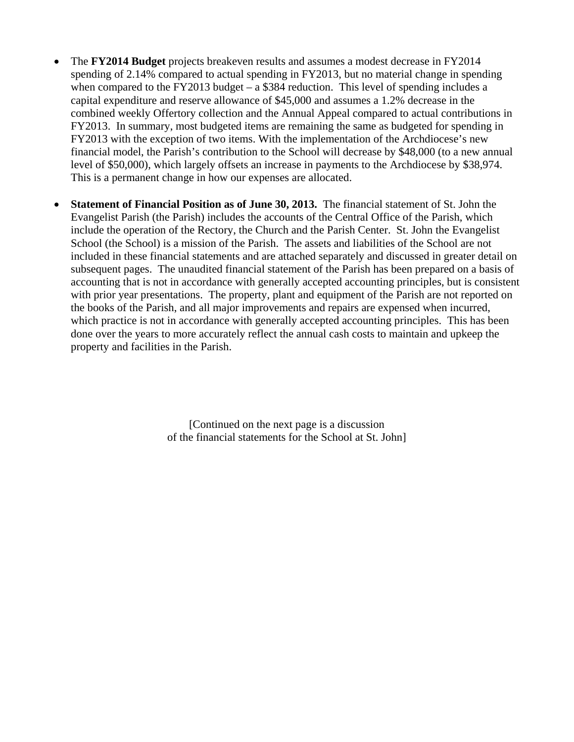- The **FY2014 Budget** projects breakeven results and assumes a modest decrease in FY2014 spending of 2.14% compared to actual spending in FY2013, but no material change in spending when compared to the FY2013 budget – a  $$384$  reduction. This level of spending includes a capital expenditure and reserve allowance of \$45,000 and assumes a 1.2% decrease in the combined weekly Offertory collection and the Annual Appeal compared to actual contributions in FY2013. In summary, most budgeted items are remaining the same as budgeted for spending in FY2013 with the exception of two items. With the implementation of the Archdiocese's new financial model, the Parish's contribution to the School will decrease by \$48,000 (to a new annual level of \$50,000), which largely offsets an increase in payments to the Archdiocese by \$38,974. This is a permanent change in how our expenses are allocated.
- **Statement of Financial Position as of June 30, 2013.** The financial statement of St. John the Evangelist Parish (the Parish) includes the accounts of the Central Office of the Parish, which include the operation of the Rectory, the Church and the Parish Center. St. John the Evangelist School (the School) is a mission of the Parish. The assets and liabilities of the School are not included in these financial statements and are attached separately and discussed in greater detail on subsequent pages. The unaudited financial statement of the Parish has been prepared on a basis of accounting that is not in accordance with generally accepted accounting principles, but is consistent with prior year presentations. The property, plant and equipment of the Parish are not reported on the books of the Parish, and all major improvements and repairs are expensed when incurred, which practice is not in accordance with generally accepted accounting principles. This has been done over the years to more accurately reflect the annual cash costs to maintain and upkeep the property and facilities in the Parish.

[Continued on the next page is a discussion of the financial statements for the School at St. John]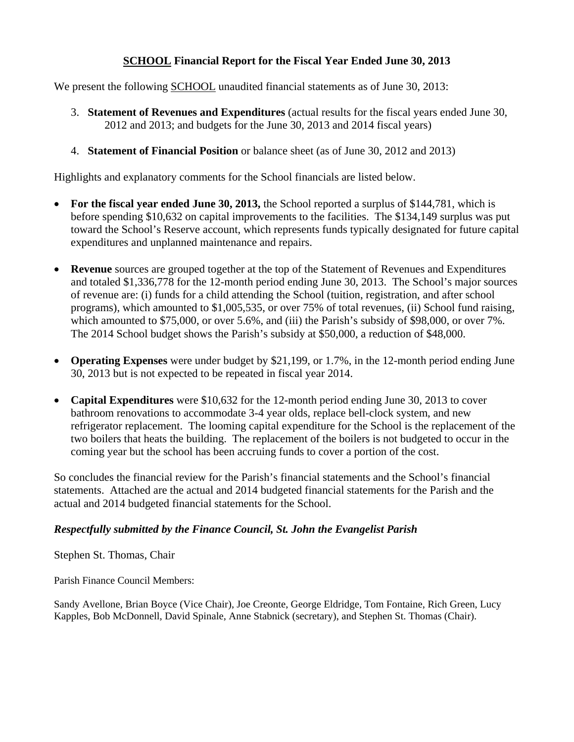## **SCHOOL Financial Report for the Fiscal Year Ended June 30, 2013**

We present the following SCHOOL unaudited financial statements as of June 30, 2013:

- 3. **Statement of Revenues and Expenditures** (actual results for the fiscal years ended June 30, 2012 and 2013; and budgets for the June 30, 2013 and 2014 fiscal years)
- 4. **Statement of Financial Position** or balance sheet (as of June 30, 2012 and 2013)

Highlights and explanatory comments for the School financials are listed below.

- For the fiscal year ended June 30, 2013, the School reported a surplus of \$144,781, which is before spending \$10,632 on capital improvements to the facilities. The \$134,149 surplus was put toward the School's Reserve account, which represents funds typically designated for future capital expenditures and unplanned maintenance and repairs.
- **Revenue** sources are grouped together at the top of the Statement of Revenues and Expenditures and totaled \$1,336,778 for the 12-month period ending June 30, 2013. The School's major sources of revenue are: (i) funds for a child attending the School (tuition, registration, and after school programs), which amounted to \$1,005,535, or over 75% of total revenues, (ii) School fund raising, which amounted to \$75,000, or over 5.6%, and (iii) the Parish's subsidy of \$98,000, or over 7%. The 2014 School budget shows the Parish's subsidy at \$50,000, a reduction of \$48,000.
- **Operating Expenses** were under budget by \$21,199, or 1.7%, in the 12-month period ending June 30, 2013 but is not expected to be repeated in fiscal year 2014.
- **Capital Expenditures** were \$10,632 for the 12-month period ending June 30, 2013 to cover bathroom renovations to accommodate 3-4 year olds, replace bell-clock system, and new refrigerator replacement. The looming capital expenditure for the School is the replacement of the two boilers that heats the building. The replacement of the boilers is not budgeted to occur in the coming year but the school has been accruing funds to cover a portion of the cost.

So concludes the financial review for the Parish's financial statements and the School's financial statements. Attached are the actual and 2014 budgeted financial statements for the Parish and the actual and 2014 budgeted financial statements for the School.

## *Respectfully submitted by the Finance Council, St. John the Evangelist Parish*

Stephen St. Thomas, Chair

Parish Finance Council Members:

Sandy Avellone, Brian Boyce (Vice Chair), Joe Creonte, George Eldridge, Tom Fontaine, Rich Green, Lucy Kapples, Bob McDonnell, David Spinale, Anne Stabnick (secretary), and Stephen St. Thomas (Chair).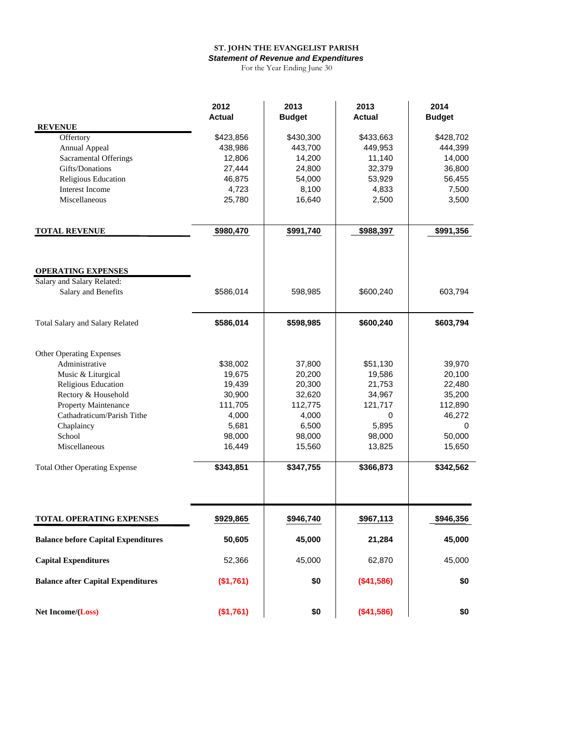#### **ST. JOHN THE EVANGELIST PARISH**

*Statement of Revenue and Expenditures*

For the Year Ending June 30

|                                            | 2012<br><b>Actual</b> | 2013<br><b>Budget</b> | 2013<br><b>Actual</b> | 2014<br><b>Budget</b> |
|--------------------------------------------|-----------------------|-----------------------|-----------------------|-----------------------|
| <b>REVENUE</b>                             |                       |                       |                       |                       |
| Offertory                                  | \$423,856             | \$430,300             | \$433,663             | \$428,702             |
| Annual Appeal                              | 438,986               | 443,700               | 449,953               | 444,399               |
| <b>Sacramental Offerings</b>               | 12,806                | 14,200                | 11,140                | 14,000                |
| Gifts/Donations                            | 27,444                | 24,800                | 32,379                | 36,800                |
| Religious Education                        | 46,875                | 54,000                | 53,929                | 56,455                |
| Interest Income                            | 4,723                 | 8,100                 | 4,833                 | 7,500                 |
| Miscellaneous                              | 25,780                | 16,640                | 2,500                 | 3,500                 |
| <b>TOTAL REVENUE</b>                       | \$980,470             | \$991,740             | \$988,397             | \$991,356             |
| <b>OPERATING EXPENSES</b>                  |                       |                       |                       |                       |
| Salary and Salary Related:                 |                       |                       |                       |                       |
| Salary and Benefits                        | \$586,014             | 598,985               | \$600,240             | 603,794               |
| Total Salary and Salary Related            | \$586,014             | \$598,985             | \$600,240             | \$603,794             |
| <b>Other Operating Expenses</b>            |                       |                       |                       |                       |
| Administrative                             | \$38,002              | 37,800                | \$51,130              | 39,970                |
| Music & Liturgical                         | 19,675                | 20,200                | 19,586                | 20,100                |
| Religious Education                        | 19,439                | 20,300                | 21,753                | 22,480                |
| Rectory & Household                        | 30,900                | 32,620                | 34,967                | 35,200                |
| Property Maintenance                       | 111,705               | 112,775               | 121,717               | 112,890               |
| Cathadraticum/Parish Tithe                 | 4,000                 | 4,000                 | 0                     | 46,272                |
| Chaplaincy                                 | 5,681                 | 6,500                 | 5,895                 | 0                     |
| School                                     | 98,000                | 98,000                | 98,000                | 50,000                |
| Miscellaneous                              | 16,449                | 15,560                | 13,825                | 15,650                |
| <b>Total Other Operating Expense</b>       | \$343,851             | \$347,755             | \$366,873             | \$342,562             |
|                                            |                       |                       |                       |                       |
| <b>TOTAL OPERATING EXPENSES</b>            | \$929,865             | \$946,740             | \$967,113             | \$946,356             |
| <b>Balance before Capital Expenditures</b> | 50,605                | 45,000                | 21,284                | 45,000                |
| <b>Capital Expenditures</b>                | 52,366                | 45,000                | 62,870                | 45,000                |
| <b>Balance after Capital Expenditures</b>  | (\$1,761)             | \$0                   | (\$41,586)            | \$0                   |
| Net Income/(Loss)                          | (\$1,761)             | \$0                   | (\$41,586)            | \$0                   |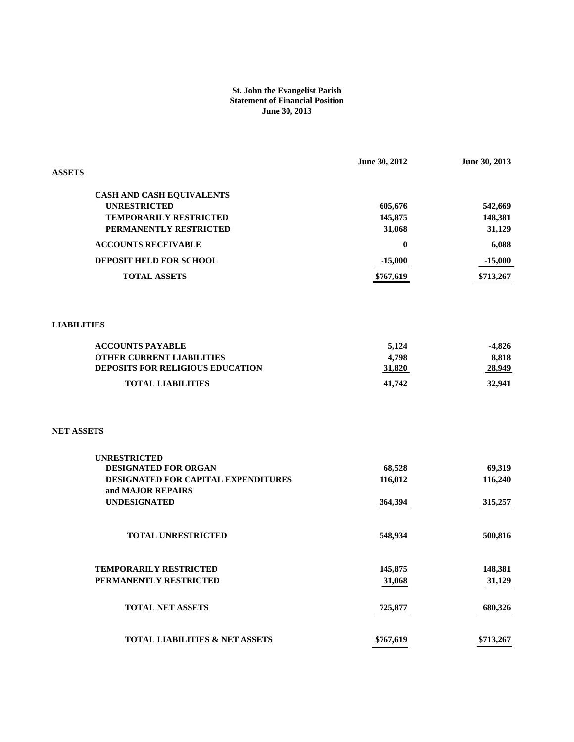#### **St. John the Evangelist Parish Statement of Financial Position June 30, 2013**

| <b>ASSETS</b>                                           | June 30, 2012     | June 30, 2013     |
|---------------------------------------------------------|-------------------|-------------------|
|                                                         |                   |                   |
| CASH AND CASH EQUIVALENTS                               |                   |                   |
| <b>UNRESTRICTED</b>                                     | 605,676           | 542,669           |
| TEMPORARILY RESTRICTED<br>PERMANENTLY RESTRICTED        | 145,875<br>31,068 | 148,381<br>31,129 |
|                                                         |                   |                   |
| <b>ACCOUNTS RECEIVABLE</b>                              | 0                 | 6,088             |
| DEPOSIT HELD FOR SCHOOL                                 | $-15,000$         | $-15,000$         |
| <b>TOTAL ASSETS</b>                                     | \$767,619         | \$713,267         |
|                                                         |                   |                   |
| <b>LIABILITIES</b>                                      |                   |                   |
| <b>ACCOUNTS PAYABLE</b>                                 | 5,124             | $-4,826$          |
| <b>OTHER CURRENT LIABILITIES</b>                        | 4,798             | 8,818             |
| DEPOSITS FOR RELIGIOUS EDUCATION                        | 31,820            | 28,949            |
| <b>TOTAL LIABILITIES</b>                                | 41,742            | 32,941            |
| <b>NET ASSETS</b>                                       |                   |                   |
| <b>UNRESTRICTED</b>                                     |                   |                   |
| DESIGNATED FOR ORGAN                                    | 68,528            | 69,319            |
| DESIGNATED FOR CAPITAL EXPENDITURES                     | 116,012           | 116,240           |
| and MAJOR REPAIRS                                       |                   |                   |
| <b>UNDESIGNATED</b>                                     | 364,394           | 315,257           |
| <b>TOTAL UNRESTRICTED</b>                               | 548,934           | 500,816           |
|                                                         |                   |                   |
| <b>TEMPORARILY RESTRICTED</b><br>PERMANENTLY RESTRICTED | 145,875<br>31,068 | 148,381<br>31,129 |
|                                                         |                   |                   |
| TOTAL NET ASSETS                                        | 725,877           | 680,326           |
| <b>TOTAL LIABILITIES &amp; NET ASSETS</b>               | \$767,619         | \$713,267         |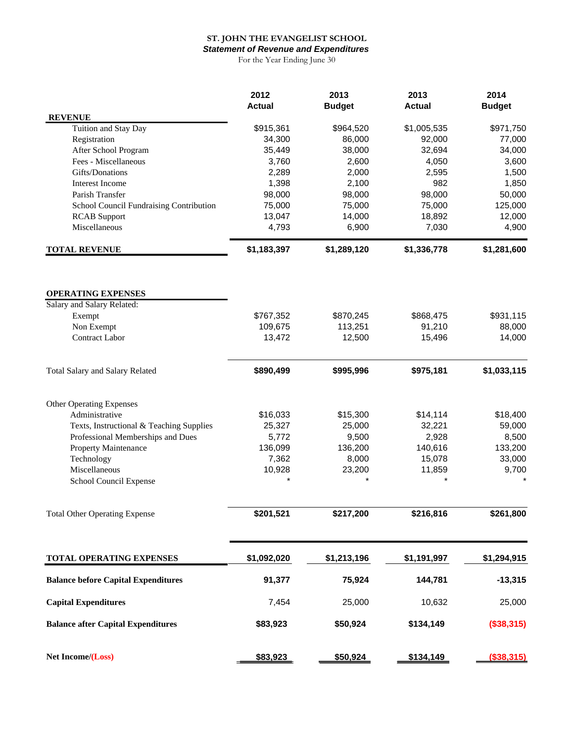#### **ST. JOHN THE EVANGELIST SCHOOL**

*Statement of Revenue and Expenditures*

For the Year Ending June 30

|                                                         | 2012<br><b>Actual</b> | 2013<br><b>Budget</b> | 2013<br><b>Actual</b> | 2014<br><b>Budget</b> |
|---------------------------------------------------------|-----------------------|-----------------------|-----------------------|-----------------------|
| <b>REVENUE</b>                                          |                       |                       |                       |                       |
| Tuition and Stay Day                                    | \$915,361             | \$964,520             | \$1,005,535           | \$971,750             |
| Registration                                            | 34,300                | 86,000                | 92,000                | 77,000                |
| After School Program                                    | 35,449                | 38,000                | 32,694                | 34,000                |
| Fees - Miscellaneous                                    | 3,760                 | 2,600                 | 4,050                 | 3,600                 |
| Gifts/Donations                                         | 2,289                 | 2,000                 | 2,595<br>982          | 1,500                 |
| Interest Income<br>Parish Transfer                      | 1,398<br>98,000       | 2,100<br>98,000       | 98,000                | 1,850<br>50,000       |
| School Council Fundraising Contribution                 | 75,000                | 75,000                | 75,000                | 125,000               |
| <b>RCAB</b> Support                                     | 13,047                | 14,000                | 18,892                | 12,000                |
| Miscellaneous                                           | 4,793                 | 6,900                 | 7,030                 | 4,900                 |
| <b>TOTAL REVENUE</b>                                    | \$1,183,397           | \$1,289,120           | \$1,336,778           | \$1,281,600           |
|                                                         |                       |                       |                       |                       |
| <b>OPERATING EXPENSES</b><br>Salary and Salary Related: |                       |                       |                       |                       |
| Exempt                                                  | \$767,352             | \$870,245             | \$868,475             | \$931,115             |
| Non Exempt                                              | 109,675               | 113,251               | 91,210                | 88,000                |
| <b>Contract Labor</b>                                   | 13,472                | 12,500                | 15,496                | 14,000                |
| Total Salary and Salary Related                         | \$890,499             | \$995,996             | \$975,181             | \$1,033,115           |
| <b>Other Operating Expenses</b>                         |                       |                       |                       |                       |
| Administrative                                          | \$16,033              | \$15,300              | \$14,114              | \$18,400              |
| Texts, Instructional & Teaching Supplies                | 25,327                | 25,000                | 32,221                | 59,000                |
| Professional Memberships and Dues                       | 5,772                 | 9,500                 | 2,928                 | 8,500                 |
| Property Maintenance                                    | 136,099               | 136,200               | 140,616               | 133,200               |
| Technology                                              | 7,362                 | 8,000                 | 15,078                | 33,000                |
| Miscellaneous                                           | 10,928                | 23,200                | 11,859                | 9,700                 |
| School Council Expense                                  |                       |                       |                       |                       |
| <b>Total Other Operating Expense</b>                    | \$201,521             | \$217,200             | \$216,816             | \$261,800             |
| <b>TOTAL OPERATING EXPENSES</b>                         | \$1,092,020           | \$1,213,196           | \$1,191,997           | \$1,294,915           |
| <b>Balance before Capital Expenditures</b>              | 91,377                | 75,924                | 144,781               | $-13,315$             |
| <b>Capital Expenditures</b>                             | 7,454                 | 25,000                | 10,632                | 25,000                |
| <b>Balance after Capital Expenditures</b>               | \$83,923              | \$50,924              | \$134,149             | (\$38,315)            |
| Net Income/(Loss)                                       | \$83,923              | \$50,924              | \$134,149             | (\$38,315)            |